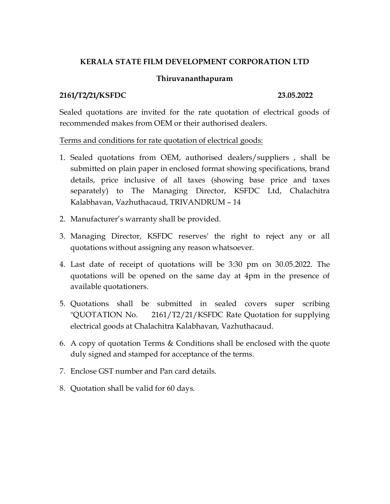# **KERALA STATE FILM DEVELOPMENT CORPORATION LTD**

## **Thiruvananthapuram**

### **2161/T2/21/KSFDC 23.05.2022**

Sealed quotations are invited for the rate quotation of electrical goods of recommended makes from OEM or their authorised dealers.

### Terms and conditions for rate quotation of electrical goods:

- 1. Sealed quotations from OEM, authorised dealers/suppliers , shall be submitted on plain paper in enclosed format showing specifications, brand details, price inclusive of all taxes (showing base price and taxes separately) to The Managing Director, KSFDC Ltd, Chalachitra Kalabhavan, Vazhuthacaud, TRIVANDRUM – 14
- 2. Manufacturer's warranty shall be provided.
- 3. Managing Director, KSFDC reserves' the right to reject any or all quotations without assigning any reason whatsoever.
- 4. Last date of receipt of quotations will be 3:30 pm on 30.05.2022. The quotations will be opened on the same day at 4pm in the presence of available quotationers.
- 5. Quotations shall be submitted in sealed covers super scribing "QUOTATION No. 2161/T2/21/KSFDC Rate Quotation for supplying electrical goods at Chalachitra Kalabhavan, Vazhuthacaud.
- 6. A copy of quotation Terms & Conditions shall be enclosed with the quote duly signed and stamped for acceptance of the terms.
- 7. Enclose GST number and Pan card details.
- 8. Quotation shall be valid for 60 days.